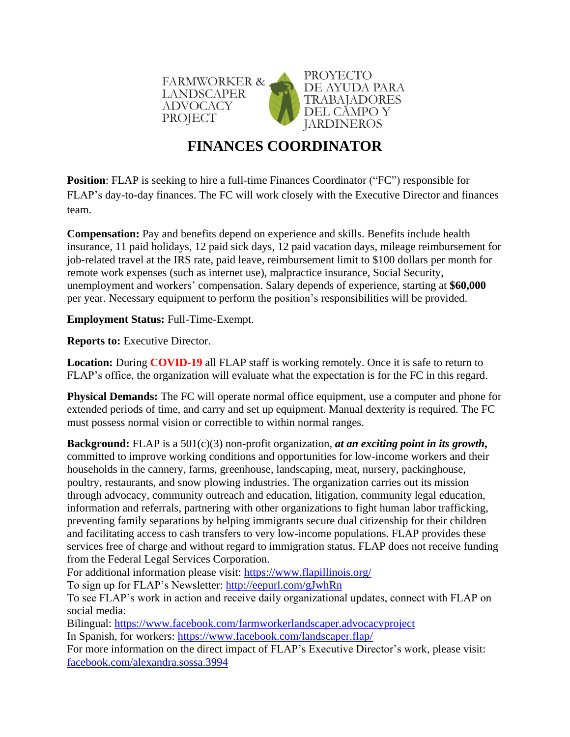

## **FINANCES COORDINATOR**

**Position:** [FLAP](http://www.fwadvocacy.org/) is seeking to hire a full-time Finances Coordinator ("FC") responsible for FLAP's day-to-day finances. The FC will work closely with the Executive Director and finances team.

**Compensation:** Pay and benefits depend on experience and skills. Benefits include health insurance, 11 paid holidays, 12 paid sick days, 12 paid vacation days, mileage reimbursement for job-related travel at the IRS rate, paid leave, reimbursement limit to \$100 dollars per month for remote work expenses (such as internet use), malpractice insurance, Social Security, unemployment and workers' compensation. Salary depends of experience, starting at **\$60,000** per year. Necessary equipment to perform the position's responsibilities will be provided.

**Employment Status:** Full-Time-Exempt.

**Reports to:** Executive Director.

**Location:** During **COVID-19** all FLAP staff is working remotely. Once it is safe to return to FLAP's office, the organization will evaluate what the expectation is for the FC in this regard.

**Physical Demands:** The FC will operate normal office equipment, use a computer and phone for extended periods of time, and carry and set up equipment. Manual dexterity is required. The FC must possess normal vision or correctible to within normal ranges.

**Background:** FLAP is a 501(c)(3) non-profit organization, *at an exciting point in its growth***,** committed to improve working conditions and opportunities for low-income workers and their households in the cannery, farms, greenhouse, landscaping, meat, nursery, packinghouse, poultry, restaurants, and snow plowing industries. The organization carries out its mission through advocacy, community outreach and education, litigation, community legal education, information and referrals, partnering with other organizations to fight human labor trafficking, preventing family separations by helping immigrants secure dual citizenship for their children and facilitating access to cash transfers to very low-income populations. FLAP provides these services free of charge and without regard to immigration status. FLAP does not receive funding from the Federal Legal Services Corporation.

For additional information please visit:<https://www.flapillinois.org/>

To sign up for FLAP's Newsletter:<http://eepurl.com/gJwhRn>

To see FLAP's work in action and receive daily organizational updates, connect with FLAP on social media:

Bilingual: <https://www.facebook.com/farmworkerlandscaper.advocacyproject> In Spanish, for workers: <https://www.facebook.com/landscaper.flap/>

For more information on the direct impact of FLAP's Executive Director's work, please visit: [facebook.com/alexandra.sossa.3994](https://www.facebook.com/alexandra.sossa.3994)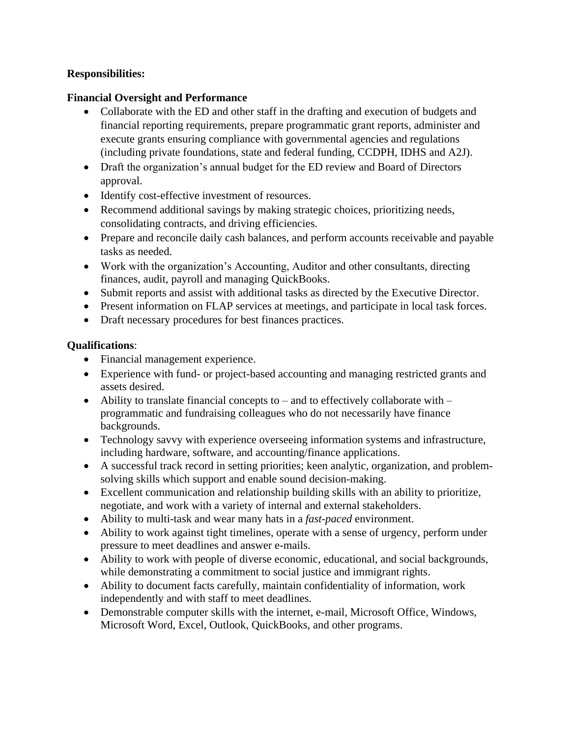## **Responsibilities:**

## **Financial Oversight and Performance**

- Collaborate with the ED and other staff in the drafting and execution of budgets and financial reporting requirements, prepare programmatic grant reports, administer and execute grants ensuring compliance with governmental agencies and regulations (including private foundations, state and federal funding, CCDPH, IDHS and A2J).
- Draft the organization's annual budget for the ED review and Board of Directors approval.
- Identify cost-effective investment of resources.
- Recommend additional savings by making strategic choices, prioritizing needs, consolidating contracts, and driving efficiencies.
- Prepare and reconcile daily cash balances, and perform accounts receivable and payable tasks as needed.
- Work with the organization's Accounting, Auditor and other consultants, directing finances, audit, payroll and managing QuickBooks.
- Submit reports and assist with additional tasks as directed by the Executive Director.
- Present information on FLAP services at meetings, and participate in local task forces.
- Draft necessary procedures for best finances practices.

## **Qualifications**:

- Financial management experience.
- Experience with fund- or project-based accounting and managing restricted grants and assets desired.
- Ability to translate financial concepts to and to effectively collaborate with programmatic and fundraising colleagues who do not necessarily have finance backgrounds.
- Technology savvy with experience overseeing information systems and infrastructure, including hardware, software, and accounting/finance applications.
- A successful track record in setting priorities; keen analytic, organization, and problemsolving skills which support and enable sound decision-making.
- Excellent communication and relationship building skills with an ability to prioritize, negotiate, and work with a variety of internal and external stakeholders.
- Ability to multi-task and wear many hats in a *fast-paced* environment.
- Ability to work against tight timelines, operate with a sense of urgency, perform under pressure to meet deadlines and answer e-mails.
- Ability to work with people of diverse economic, educational, and social backgrounds, while demonstrating a commitment to social justice and immigrant rights.
- Ability to document facts carefully, maintain confidentiality of information, work independently and with staff to meet deadlines.
- Demonstrable computer skills with the internet, e-mail, Microsoft Office, Windows, Microsoft Word, Excel, Outlook, QuickBooks, and other programs.